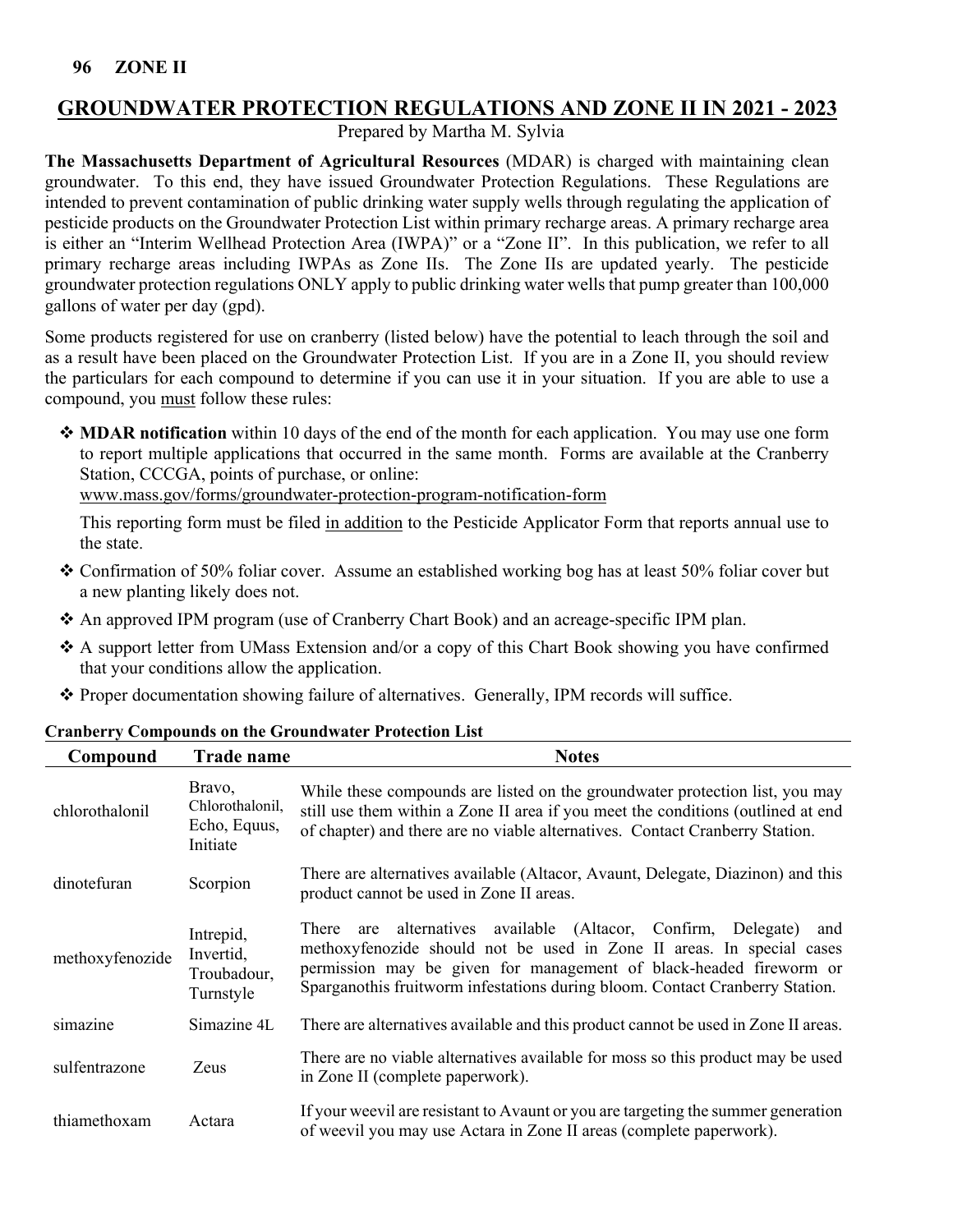# **GROUNDWATER PROTECTION REGULATIONS AND ZONE II IN 2021 - 2023**

Prepared by Martha M. Sylvia

**The Massachusetts Department of Agricultural Resources** (MDAR) is charged with maintaining clean groundwater. To this end, they have issued Groundwater Protection Regulations. These Regulations are intended to prevent contamination of public drinking water supply wells through regulating the application of pesticide products on the Groundwater Protection List within primary recharge areas. A primary recharge area is either an "Interim Wellhead Protection Area (IWPA)" or a "Zone II". In this publication, we refer to all primary recharge areas including IWPAs as Zone IIs. The Zone IIs are updated yearly. The pesticide groundwater protection regulations ONLY apply to public drinking water wells that pump greater than 100,000 gallons of water per day (gpd).

Some products registered for use on cranberry (listed below) have the potential to leach through the soil and as a result have been placed on the Groundwater Protection List. If you are in a Zone II, you should review the particulars for each compound to determine if you can use it in your situation. If you are able to use a compound, you must follow these rules:

 **MDAR notification** within 10 days of the end of the month for each application. You may use one form to report multiple applications that occurred in the same month. Forms are available at the Cranberry Station, CCCGA, points of purchase, or online:

[www.mass.gov/forms/groundwater-protection-program-notification-form](http://www.mass.gov/forms/groundwater-protection-program-notification-form)

This reporting form must be filed in addition to the Pesticide Applicator Form that reports annual use to the state.

- Confirmation of 50% foliar cover. Assume an established working bog has at least 50% foliar cover but a new planting likely does not.
- An approved IPM program (use of Cranberry Chart Book) and an acreage-specific IPM plan.
- A support letter from UMass Extension and/or a copy of this Chart Book showing you have confirmed that your conditions allow the application.
- Proper documentation showing failure of alternatives. Generally, IPM records will suffice.

| Compound        | <b>Trade name</b>                                     | <b>Notes</b>                                                                                                                                                                                                                                                                                           |
|-----------------|-------------------------------------------------------|--------------------------------------------------------------------------------------------------------------------------------------------------------------------------------------------------------------------------------------------------------------------------------------------------------|
| chlorothalonil  | Bravo,<br>Chlorothalonil,<br>Echo, Equus,<br>Initiate | While these compounds are listed on the groundwater protection list, you may<br>still use them within a Zone II area if you meet the conditions (outlined at end<br>of chapter) and there are no viable alternatives. Contact Cranberry Station.                                                       |
| dinotefuran     | Scorpion                                              | There are alternatives available (Altacor, Avaunt, Delegate, Diazinon) and this<br>product cannot be used in Zone II areas.                                                                                                                                                                            |
| methoxyfenozide | Intrepid,<br>Invertid,<br>Troubadour,<br>Turnstyle    | are alternatives available (Altacor, Confirm, Delegate)<br>There<br>and<br>methoxyfenozide should not be used in Zone II areas. In special cases<br>permission may be given for management of black-headed fireworm or<br>Sparganothis fruitworm infestations during bloom. Contact Cranberry Station. |
| simazine        | Simazine 4L                                           | There are alternatives available and this product cannot be used in Zone II areas.                                                                                                                                                                                                                     |
| sulfentrazone   | Zeus                                                  | There are no viable alternatives available for moss so this product may be used<br>in Zone II (complete paperwork).                                                                                                                                                                                    |
| thiamethoxam    | Actara                                                | If your weevil are resistant to Avaunt or you are targeting the summer generation<br>of weevil you may use Actara in Zone II areas (complete paperwork).                                                                                                                                               |

# **Cranberry Compounds on the Groundwater Protection List**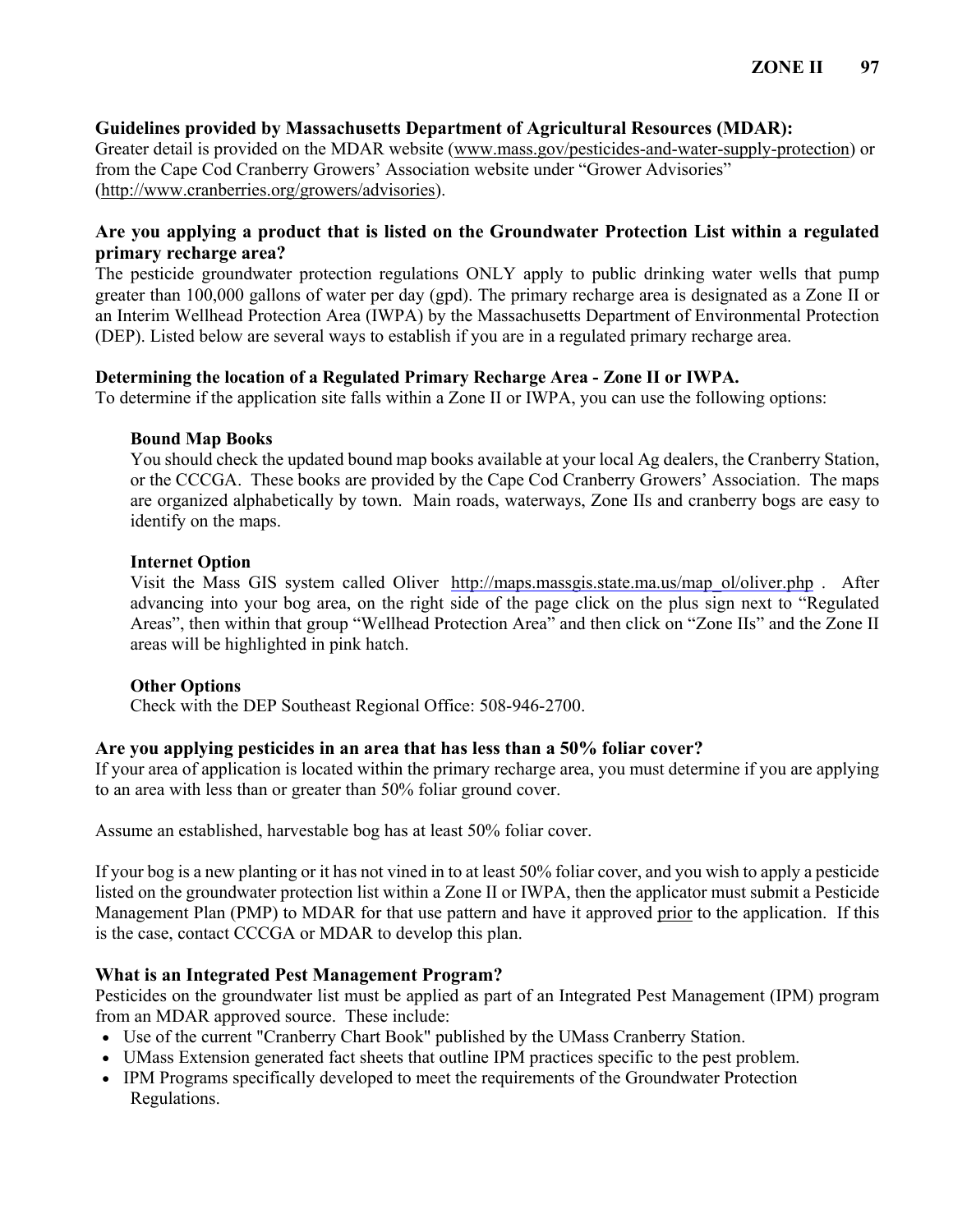## **Guidelines provided by Massachusetts Department of Agricultural Resources (MDAR):**

Greater detail is provided on the MDAR website [\(www.mass.gov/pesticides-and-water-supply-protection\)](http://www.mass.gov/pesticides-and-water-supply-protection) or from the Cape Cod Cranberry Growers' Association website under "Grower Advisories" [\(http://www.cranberries.org/growers/advisories\)](http://www.cranberries.org/growers/advisories).

## **Are you applying a product that is listed on the Groundwater Protection List within a regulated primary recharge area?**

The pesticide groundwater protection regulations ONLY apply to public drinking water wells that pump greater than 100,000 gallons of water per day (gpd). The primary recharge area is designated as a Zone II or an Interim Wellhead Protection Area (IWPA) by the Massachusetts Department of Environmental Protection (DEP). Listed below are several ways to establish if you are in a regulated primary recharge area.

### **Determining the location of a Regulated Primary Recharge Area - Zone II or IWPA.**

To determine if the application site falls within a Zone II or IWPA, you can use the following options:

### **Bound Map Books**

You should check the updated bound map books available at your local Ag dealers, the Cranberry Station, or the CCCGA. These books are provided by the Cape Cod Cranberry Growers' Association. The maps are organized alphabetically by town. Main roads, waterways, Zone IIs and cranberry bogs are easy to identify on the maps.

### **Internet Option**

Visit the Mass GIS system called Oliver [http://maps.massgis.state.ma.us/map\\_ol/oliver.php](http://maps.massgis.state.ma.us/map_ol/oliver.php) . After advancing into your bog area, on the right side of the page click on the plus sign next to "Regulated Areas", then within that group "Wellhead Protection Area" and then click on "Zone IIs" and the Zone II areas will be highlighted in pink hatch.

## **Other Options**

Check with the DEP Southeast Regional Office: 508-946-2700.

## **Are you applying pesticides in an area that has less than a 50% foliar cover?**

If your area of application is located within the primary recharge area, you must determine if you are applying to an area with less than or greater than 50% foliar ground cover.

Assume an established, harvestable bog has at least 50% foliar cover.

If your bog is a new planting or it has not vined in to at least 50% foliar cover, and you wish to apply a pesticide listed on the groundwater protection list within a Zone II or IWPA, then the applicator must submit a Pesticide Management Plan (PMP) to MDAR for that use pattern and have it approved prior to the application. If this is the case, contact CCCGA or MDAR to develop this plan.

## **What is an Integrated Pest Management Program?**

Pesticides on the groundwater list must be applied as part of an Integrated Pest Management (IPM) program from an MDAR approved source. These include:

- Use of the current "Cranberry Chart Book" published by the UMass Cranberry Station.
- UMass Extension generated fact sheets that outline IPM practices specific to the pest problem.
- IPM Programs specifically developed to meet the requirements of the Groundwater Protection Regulations.